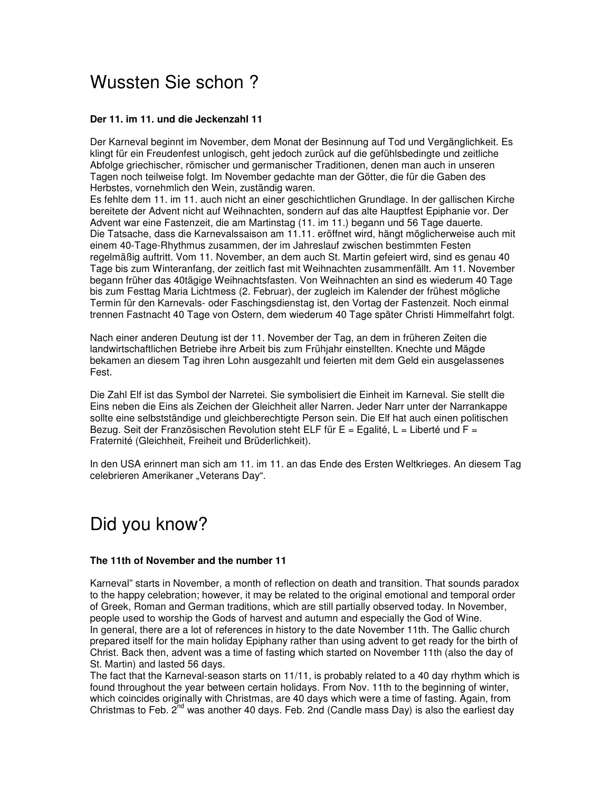## Wussten Sie schon ?

## **Der 11. im 11. und die Jeckenzahl 11**

Der Karneval beginnt im November, dem Monat der Besinnung auf Tod und Vergänglichkeit. Es klingt für ein Freudenfest unlogisch, geht jedoch zurück auf die gefühlsbedingte und zeitliche Abfolge griechischer, römischer und germanischer Traditionen, denen man auch in unseren Tagen noch teilweise folgt. Im November gedachte man der Götter, die für die Gaben des Herbstes, vornehmlich den Wein, zuständig waren.

Es fehlte dem 11. im 11. auch nicht an einer geschichtlichen Grundlage. In der gallischen Kirche bereitete der Advent nicht auf Weihnachten, sondern auf das alte Hauptfest Epiphanie vor. Der Advent war eine Fastenzeit, die am Martinstag (11. im 11.) begann und 56 Tage dauerte. Die Tatsache, dass die Karnevalssaison am 11.11. eröffnet wird, hängt möglicherweise auch mit einem 40-Tage-Rhythmus zusammen, der im Jahreslauf zwischen bestimmten Festen regelmäßig auftritt. Vom 11. November, an dem auch St. Martin gefeiert wird, sind es genau 40 Tage bis zum Winteranfang, der zeitlich fast mit Weihnachten zusammenfällt. Am 11. November begann früher das 40tägige Weihnachtsfasten. Von Weihnachten an sind es wiederum 40 Tage bis zum Festtag Maria Lichtmess (2. Februar), der zugleich im Kalender der frühest mögliche Termin für den Karnevals- oder Faschingsdienstag ist, den Vortag der Fastenzeit. Noch einmal trennen Fastnacht 40 Tage von Ostern, dem wiederum 40 Tage später Christi Himmelfahrt folgt.

Nach einer anderen Deutung ist der 11. November der Tag, an dem in früheren Zeiten die landwirtschaftlichen Betriebe ihre Arbeit bis zum Frühjahr einstellten. Knechte und Mägde bekamen an diesem Tag ihren Lohn ausgezahlt und feierten mit dem Geld ein ausgelassenes Fest.

Die Zahl Elf ist das Symbol der Narretei. Sie symbolisiert die Einheit im Karneval. Sie stellt die Eins neben die Eins als Zeichen der Gleichheit aller Narren. Jeder Narr unter der Narrankappe sollte eine selbstständige und gleichberechtigte Person sein. Die Elf hat auch einen politischen Bezug. Seit der Französischen Revolution steht ELF für E = Egalité, L = Liberté und F = Fraternité (Gleichheit, Freiheit und Brüderlichkeit).

In den USA erinnert man sich am 11. im 11. an das Ende des Ersten Weltkrieges. An diesem Tag celebrieren Amerikaner "Veterans Day".

## Did you know?

## **The 11th of November and the number 11**

Karneval" starts in November, a month of reflection on death and transition. That sounds paradox to the happy celebration; however, it may be related to the original emotional and temporal order of Greek, Roman and German traditions, which are still partially observed today. In November, people used to worship the Gods of harvest and autumn and especially the God of Wine. In general, there are a lot of references in history to the date November 11th. The Gallic church prepared itself for the main holiday Epiphany rather than using advent to get ready for the birth of Christ. Back then, advent was a time of fasting which started on November 11th (also the day of St. Martin) and lasted 56 days.

The fact that the Karneval-season starts on 11/11, is probably related to a 40 day rhythm which is found throughout the year between certain holidays. From Nov. 11th to the beginning of winter, which coincides originally with Christmas, are 40 days which were a time of fasting. Again, from Christmas to Feb.  $2^{nd}$  was another 40 days. Feb. 2nd (Candle mass Day) is also the earliest day